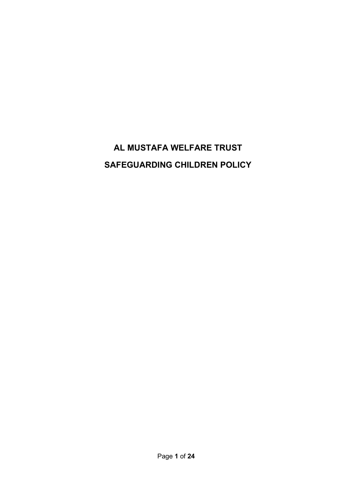# **AL MUSTAFA WELFARE TRUST SAFEGUARDING CHILDREN POLICY**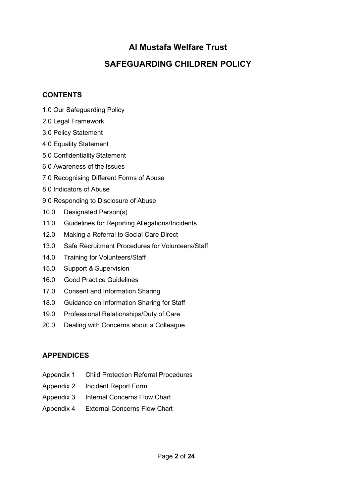## **Al Mustafa Welfare Trust**

## **SAFEGUARDING CHILDREN POLICY**

## **CONTENTS**

- 1.0 Our Safeguarding Policy
- 2.0 Legal Framework
- 3.0 Policy Statement
- 4.0 Equality Statement
- 5.0 Confidentiality Statement
- 6.0 Awareness of the Issues
- 7.0 Recognising Different Forms of Abuse
- 8.0 Indicators of Abuse
- 9.0 Responding to Disclosure of Abuse
- 10.0 Designated Person(s)
- 11.0 Guidelines for Reporting Allegations/Incidents
- 12.0 Making a Referral to Social Care Direct
- 13.0 Safe Recruitment Procedures for Volunteers/Staff
- 14.0 Training for Volunteers/Staff
- 15.0 Support & Supervision
- 16.0 Good Practice Guidelines
- 17.0 Consent and Information Sharing
- 18.0 Guidance on Information Sharing for Staff
- 19.0 Professional Relationships/Duty of Care
- 20.0 Dealing with Concerns about a Colleague

## **APPENDICES**

- Appendix 1 Child Protection Referral Procedures
- Appendix 2 Incident Report Form
- Appendix 3 Internal Concerns Flow Chart
- Appendix 4 External Concerns Flow Chart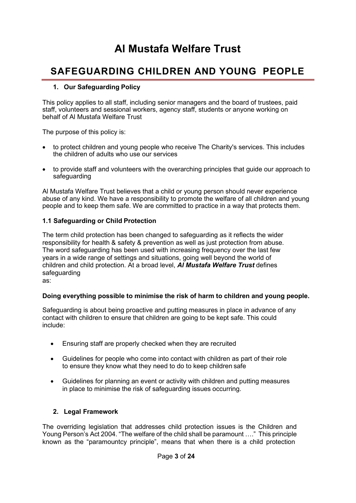# **Al Mustafa Welfare Trust**

## **SAFEGUARDING CHILDREN AND YOUNG PEOPLE**

#### **1. Our Safeguarding Policy**

This policy applies to all staff, including senior managers and the board of trustees, paid staff, volunteers and sessional workers, agency staff, students or anyone working on behalf of Al Mustafa Welfare Trust

The purpose of this policy is:

- to protect children and young people who receive The Charity's services. This includes the children of adults who use our services
- to provide staff and volunteers with the overarching principles that guide our approach to safeguarding

Al Mustafa Welfare Trust believes that a child or young person should never experience abuse of any kind. We have a responsibility to promote the welfare of all children and young people and to keep them safe. We are committed to practice in a way that protects them.

#### **1.1 Safeguarding or Child Protection**

The term child protection has been changed to safeguarding as it reflects the wider responsibility for health & safety & prevention as well as just protection from abuse. The word safeguarding has been used with increasing frequency over the last few years in a wide range of settings and situations, going well beyond the world of children and child protection. At a broad level, *Al Mustafa Welfare Trust* defines safeguarding as:

#### **Doing everything possible to minimise the risk of harm to children and young people.**

Safeguarding is about being proactive and putting measures in place in advance of any contact with children to ensure that children are going to be kept safe. This could include:

- Ensuring staff are properly checked when they are recruited
- Guidelines for people who come into contact with children as part of their role to ensure they know what they need to do to keep children safe
- Guidelines for planning an event or activity with children and putting measures in place to minimise the risk of safeguarding issues occurring.

#### **2. Legal Framework**

The overriding legislation that addresses child protection issues is the Children and Young Person's Act 2004. "The welfare of the child shall be paramount …." This principle known as the "paramountcy principle", means that when there is a child protection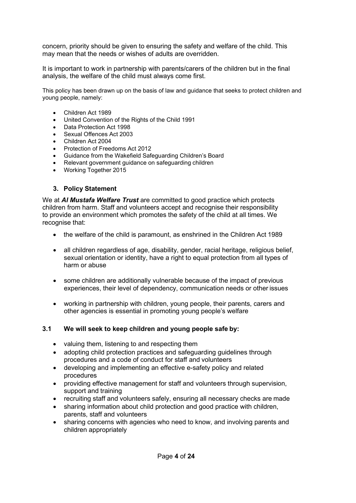concern, priority should be given to ensuring the safety and welfare of the child. This may mean that the needs or wishes of adults are overridden.

It is important to work in partnership with parents/carers of the children but in the final analysis, the welfare of the child must always come first.

This policy has been drawn up on the basis of law and guidance that seeks to protect children and young people, namely:

- Children Act 1989
- United Convention of the Rights of the Child 1991
- Data Protection Act 1998
- Sexual Offences Act 2003
- Children Act 2004
- Protection of Freedoms Act 2012
- Guidance from the Wakefield Safeguarding Children's Board
- Relevant government guidance on safeguarding children
- Working Together 2015

#### **3. Policy Statement**

We at *Al Mustafa Welfare Trust* are committed to good practice which protects children from harm. Staff and volunteers accept and recognise their responsibility to provide an environment which promotes the safety of the child at all times. We recognise that:

- the welfare of the child is paramount, as enshrined in the Children Act 1989
- all children regardless of age, disability, gender, racial heritage, religious belief, sexual orientation or identity, have a right to equal protection from all types of harm or abuse
- some children are additionally vulnerable because of the impact of previous experiences, their level of dependency, communication needs or other issues
- working in partnership with children, young people, their parents, carers and other agencies is essential in promoting young people's welfare

#### **3.1 We will seek to keep children and young people safe by:**

- valuing them, listening to and respecting them
- adopting child protection practices and safeguarding guidelines through procedures and a code of conduct for staff and volunteers
- developing and implementing an effective e-safety policy and related procedures
- providing effective management for staff and volunteers through supervision, support and training
- recruiting staff and volunteers safely, ensuring all necessary checks are made
- sharing information about child protection and good practice with children, parents, staff and volunteers
- sharing concerns with agencies who need to know, and involving parents and children appropriately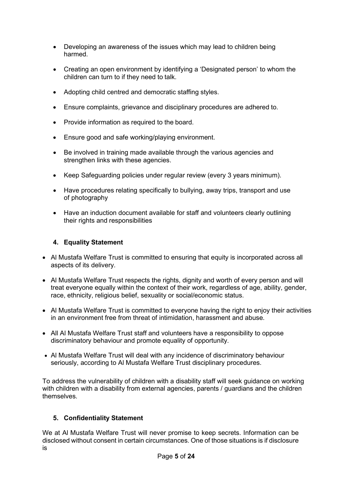- Developing an awareness of the issues which may lead to children being harmed.
- Creating an open environment by identifying a 'Designated person' to whom the children can turn to if they need to talk.
- Adopting child centred and democratic staffing styles.
- Ensure complaints, grievance and disciplinary procedures are adhered to.
- Provide information as required to the board.
- Ensure good and safe working/playing environment.
- Be involved in training made available through the various agencies and strengthen links with these agencies.
- Keep Safeguarding policies under regular review (every 3 years minimum).
- Have procedures relating specifically to bullying, away trips, transport and use of photography
- Have an induction document available for staff and volunteers clearly outlining their rights and responsibilities

## **4. Equality Statement**

- Al Mustafa Welfare Trust is committed to ensuring that equity is incorporated across all aspects of its delivery.
- Al Mustafa Welfare Trust respects the rights, dignity and worth of every person and will treat everyone equally within the context of their work, regardless of age, ability, gender, race, ethnicity, religious belief, sexuality or social/economic status.
- Al Mustafa Welfare Trust is committed to everyone having the right to enjoy their activities in an environment free from threat of intimidation, harassment and abuse.
- All Al Mustafa Welfare Trust staff and volunteers have a responsibility to oppose discriminatory behaviour and promote equality of opportunity.
- Al Mustafa Welfare Trust will deal with any incidence of discriminatory behaviour seriously, according to Al Mustafa Welfare Trust disciplinary procedures.

To address the vulnerability of children with a disability staff will seek guidance on working with children with a disability from external agencies, parents / guardians and the children themselves.

## **5. Confidentiality Statement**

We at Al Mustafa Welfare Trust will never promise to keep secrets. Information can be disclosed without consent in certain circumstances. One of those situations is if disclosure is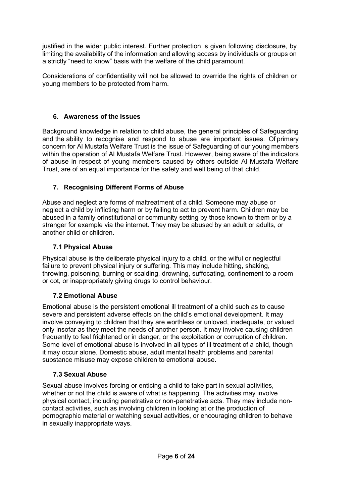justified in the wider public interest. Further protection is given following disclosure, by limiting the availability of the information and allowing access by individuals or groups on a strictly "need to know" basis with the welfare of the child paramount.

Considerations of confidentiality will not be allowed to override the rights of children or young members to be protected from harm.

## **6. Awareness of the Issues**

Background knowledge in relation to child abuse, the general principles of Safeguarding and the ability to recognise and respond to abuse are important issues. Of primary concern for Al Mustafa Welfare Trust is the issue of Safeguarding of our young members within the operation of Al Mustafa Welfare Trust. However, being aware of the indicators of abuse in respect of young members caused by others outside Al Mustafa Welfare Trust, are of an equal importance for the safety and well being of that child.

## **7. Recognising Different Forms of Abuse**

Abuse and neglect are forms of maltreatment of a child. Someone may abuse or neglect a child by inflicting harm or by failing to act to prevent harm. Children may be abused in a family orinstitutional or community setting by those known to them or by a stranger for example via the internet. They may be abused by an adult or adults, or another child or children.

## **7.1 Physical Abuse**

Physical abuse is the deliberate physical injury to a child, or the wilful or neglectful failure to prevent physical injury or suffering. This may include hitting, shaking, throwing, poisoning, burning or scalding, drowning, suffocating, confinement to a room or cot, or inappropriately giving drugs to control behaviour.

## **7.2 Emotional Abuse**

Emotional abuse is the persistent emotional ill treatment of a child such as to cause severe and persistent adverse effects on the child's emotional development. It may involve conveying to children that they are worthless or unloved, inadequate, or valued only insofar as they meet the needs of another person. It may involve causing children frequently to feel frightened or in danger, or the exploitation or corruption of children. Some level of emotional abuse is involved in all types of ill treatment of a child, though it may occur alone. Domestic abuse, adult mental health problems and parental substance misuse may expose children to emotional abuse.

## **7.3 Sexual Abuse**

Sexual abuse involves forcing or enticing a child to take part in sexual activities, whether or not the child is aware of what is happening. The activities may involve physical contact, including penetrative or non-penetrative acts. They may include noncontact activities, such as involving children in looking at or the production of pornographic material or watching sexual activities, or encouraging children to behave in sexually inappropriate ways.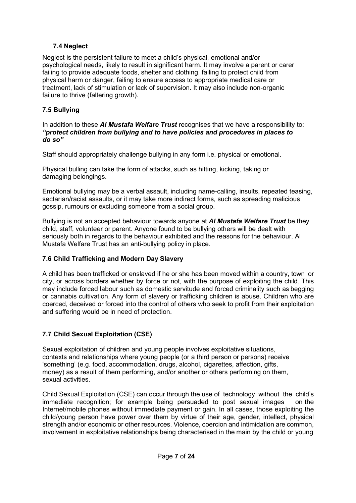## **7.4 Neglect**

Neglect is the persistent failure to meet a child's physical, emotional and/or psychological needs, likely to result in significant harm. It may involve a parent or carer failing to provide adequate foods, shelter and clothing, failing to protect child from physical harm or danger, failing to ensure access to appropriate medical care or treatment, lack of stimulation or lack of supervision. It may also include non-organic failure to thrive (faltering growth).

## **7.5 Bullying**

In addition to these *Al Mustafa Welfare Trust* recognises that we have a responsibility to: *"protect children from bullying and to have policies and procedures in places to do so"*

Staff should appropriately challenge bullying in any form i.e. physical or emotional.

Physical bulling can take the form of attacks, such as hitting, kicking, taking or damaging belongings.

Emotional bullying may be a verbal assault, including name-calling, insults, repeated teasing, sectarian/racist assaults, or it may take more indirect forms, such as spreading malicious gossip, rumours or excluding someone from a social group.

Bullying is not an accepted behaviour towards anyone at *Al Mustafa Welfare Trust* be they child, staff, volunteer or parent. Anyone found to be bullying others will be dealt with seriously both in regards to the behaviour exhibited and the reasons for the behaviour. Al Mustafa Welfare Trust has an anti-bullying policy in place.

## **7.6 Child Trafficking and Modern Day Slavery**

A child has been trafficked or enslaved if he or she has been moved within a country, town or city, or across borders whether by force or not, with the purpose of exploiting the child. This may include forced labour such as domestic servitude and forced criminality such as begging or cannabis cultivation. Any form of slavery or trafficking children is abuse. Children who are coerced, deceived or forced into the control of others who seek to profit from their exploitation and suffering would be in need of protection.

## **7.7 Child Sexual Exploitation (CSE)**

Sexual exploitation of children and young people involves exploitative situations, contexts and relationships where young people (or a third person or persons) receive 'something' (e.g. food, accommodation, drugs, alcohol, cigarettes, affection, gifts, money) as a result of them performing, and/or another or others performing on them, sexual activities.

Child Sexual Exploitation (CSE) can occur through the use of technology without the child's immediate recognition; for example being persuaded to post sexual images on the Internet/mobile phones without immediate payment or gain. In all cases, those exploiting the child/young person have power over them by virtue of their age, gender, intellect, physical strength and/or economic or other resources. Violence, coercion and intimidation are common, involvement in exploitative relationships being characterised in the main by the child or young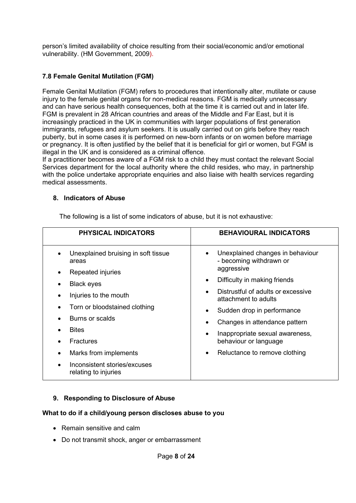person's limited availability of choice resulting from their social/economic and/or emotional vulnerability. (HM Government, 2009).

## **7.8 Female Genital Mutilation (FGM)**

Female Genital Mutilation (FGM) refers to procedures that intentionally alter, mutilate or cause injury to the female genital organs for non-medical reasons. FGM is medically unnecessary and can have serious health consequences, both at the time it is carried out and in later life. FGM is prevalent in 28 African countries and areas of the Middle and Far East, but it is increasingly practiced in the UK in communities with larger populations of first generation immigrants, refugees and asylum seekers. It is usually carried out on girls before they reach puberty, but in some cases it is performed on new-born infants or on women before marriage or pregnancy. It is often justified by the belief that it is beneficial for girl or women, but FGM is illegal in the UK and is considered as a criminal offence.

If a practitioner becomes aware of a FGM risk to a child they must contact the relevant Social Services department for the local authority where the child resides, who may, in partnership with the police undertake appropriate enquiries and also liaise with health services regarding medical assessments.

#### **8. Indicators of Abuse**

**PHYSICAL INDICATORS BEHAVIOURAL INDICATORS** • Unexplained bruising in soft tissue areas • Repeated injuries **Black eyes** • Injuries to the mouth • Torn or bloodstained clothing • Burns or scalds • Bites **Fractures** • Marks from implements • Inconsistent stories/excuses relating to injuries • Unexplained changes in behaviour - becoming withdrawn or aggressive Difficulty in making friends • Distrustful of adults or excessive attachment to adults • Sudden drop in performance • Changes in attendance pattern • Inappropriate sexual awareness, behaviour or language • Reluctance to remove clothing

The following is a list of some indicators of abuse, but it is not exhaustive:

#### **9. Responding to Disclosure of Abuse**

#### **What to do if a child/young person discloses abuse to you**

- Remain sensitive and calm
- Do not transmit shock, anger or embarrassment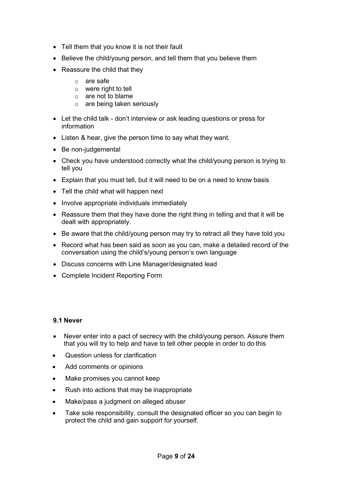- Tell them that you know it is not their fault
- Believe the child/young person, and tell them that you believe them
- Reassure the child that they
	- o are safe
	- o were right to tell
	- o are not to blame
	- o are being taken seriously
- Let the child talk don't interview or ask leading questions or press for information
- Listen & hear, give the person time to say what they want.
- Be non-judgemental
- Check you have understood correctly what the child/young person is trying to tell you
- Explain that you must tell, but it will need to be on a need to know basis
- Tell the child what will happen next
- Involve appropriate individuals immediately
- Reassure them that they have done the right thing in telling and that it will be dealt with appropriately.
- Be aware that the child/young person may try to retract all they have told you
- Record what has been said as soon as you can, make a detailed record of the conversation using the child's/young person's own language
- Discuss concerns with Line Manager/designated lead
- Complete Incident Reporting Form

#### **9.1 Never**

- Never enter into a pact of secrecy with the child/young person. Assure them that you will try to help and have to tell other people in order to do this
- Question unless for clarification
- Add comments or opinions
- Make promises you cannot keep
- Rush into actions that may be inappropriate
- Make/pass a judgment on alleged abuser
- Take sole responsibility, consult the designated officer so you can begin to protect the child and gain support for yourself.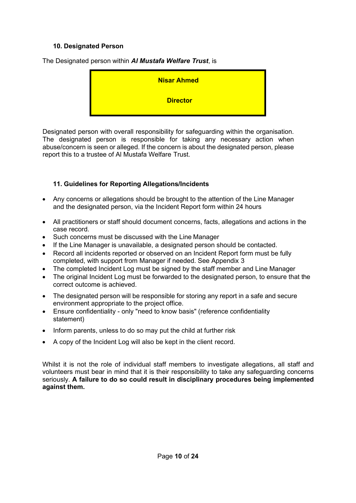### **10. Designated Person**

**Nisar Ahmed Director**

The Designated person within *Al Mustafa Welfare Trust*, is

Designated person with overall responsibility for safeguarding within the organisation. The designated person is responsible for taking any necessary action when abuse/concern is seen or alleged. If the concern is about the designated person, please report this to a trustee of Al Mustafa Welfare Trust.

#### **11. Guidelines for Reporting Allegations/Incidents**

- Any concerns or allegations should be brought to the attention of the Line Manager and the designated person, via the Incident Report form within 24 hours
- All practitioners or staff should document concerns, facts, allegations and actions in the case record.
- Such concerns must be discussed with the Line Manager
- If the Line Manager is unavailable, a designated person should be contacted.
- Record all incidents reported or observed on an Incident Report form must be fully completed, with support from Manager if needed. See Appendix 3
- The completed Incident Log must be signed by the staff member and Line Manager
- The original Incident Log must be forwarded to the designated person, to ensure that the correct outcome is achieved.
- The designated person will be responsible for storing any report in a safe and secure environment appropriate to the project office.
- Ensure confidentiality only "need to know basis" (reference confidentiality statement)
- Inform parents, unless to do so may put the child at further risk
- A copy of the Incident Log will also be kept in the client record.

Whilst it is not the role of individual staff members to investigate allegations, all staff and volunteers must bear in mind that it is their responsibility to take any safeguarding concerns seriously. **A failure to do so could result in disciplinary procedures being implemented against them.**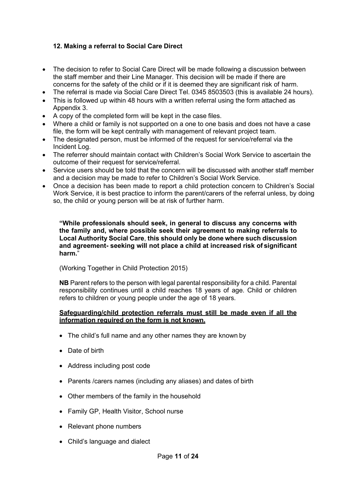## **12. Making a referral to Social Care Direct**

- The decision to refer to Social Care Direct will be made following a discussion between the staff member and their Line Manager. This decision will be made if there are concerns for the safety of the child or if it is deemed they are significant risk of harm.
- The referral is made via Social Care Direct Tel. 0345 8503503 (this is available 24 hours).
- This is followed up within 48 hours with a written referral using the form attached as Appendix 3.
- A copy of the completed form will be kept in the case files.
- Where a child or family is not supported on a one to one basis and does not have a case file, the form will be kept centrally with management of relevant project team.
- The designated person, must be informed of the request for service/referral via the Incident Log.
- The referrer should maintain contact with Children's Social Work Service to ascertain the outcome of their request for service/referral.
- Service users should be told that the concern will be discussed with another staff member and a decision may be made to refer to Children's Social Work Service.
- Once a decision has been made to report a child protection concern to Children's Social Work Service, it is best practice to inform the parent/carers of the referral unless, by doing so, the child or young person will be at risk of further harm.

**"While professionals should seek, in general to discuss any concerns with the family and, where possible seek their agreement to making referrals to Local Authority Social Care**, **this should only be done where such discussion and agreement- seeking will not place a child at increased risk of significant harm.**"

(Working Together in Child Protection 2015)

**NB** Parent refers to the person with legal parental responsibility for a child. Parental responsibility continues until a child reaches 18 years of age. Child or children refers to children or young people under the age of 18 years.

#### **Safeguarding/child protection referrals must still be made even if all the information required on the form is not known.**

- The child's full name and any other names they are known by
- Date of birth
- Address including post code
- Parents /carers names (including any aliases) and dates of birth
- Other members of the family in the household
- Family GP, Health Visitor, School nurse
- Relevant phone numbers
- Child's language and dialect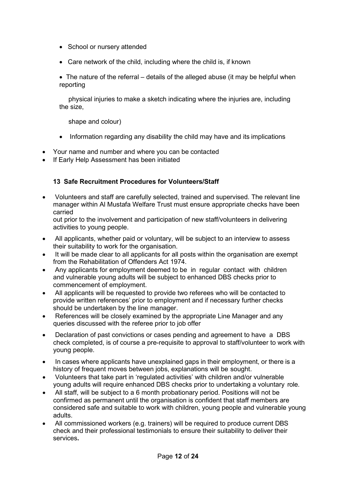- School or nursery attended
- Care network of the child, including where the child is, if known

• The nature of the referral – details of the alleged abuse (it may be helpful when reporting

physical injuries to make a sketch indicating where the injuries are, including the size,

shape and colour)

- Information regarding any disability the child may have and its implications
- Your name and number and where you can be contacted
- If Early Help Assessment has been initiated

## **13 Safe Recruitment Procedures for Volunteers/Staff**

• Volunteers and staff are carefully selected, trained and supervised. The relevant line manager within Al Mustafa Welfare Trust must ensure appropriate checks have been carried

out prior to the involvement and participation of new staff/volunteers in delivering activities to young people.

- All applicants, whether paid or voluntary, will be subject to an interview to assess their suitability to work for the organisation.
- It will be made clear to all applicants for all posts within the organisation are exempt from the Rehabilitation of Offenders Act 1974.
- Any applicants for employment deemed to be in regular contact with children and vulnerable young adults will be subject to enhanced DBS checks prior to commencement of employment.
- All applicants will be requested to provide two referees who will be contacted to provide written references' prior to employment and if necessary further checks should be undertaken by the line manager.
- References will be closely examined by the appropriate Line Manager and any queries discussed with the referee prior to job offer
- Declaration of past convictions or cases pending and agreement to have a DBS check completed, is of course a pre-requisite to approval to staff/volunteer to work with young people.
- In cases where applicants have unexplained gaps in their employment, or there is a history of frequent moves between jobs, explanations will be sought.
- Volunteers that take part in 'regulated activities' with children and/or vulnerable young adults will require enhanced DBS checks prior to undertaking a voluntary role.
- All staff, will be subject to a 6 month probationary period. Positions will not be confirmed as permanent until the organisation is confident that staff members are considered safe and suitable to work with children, young people and vulnerable young adults.
- All commissioned workers (e.g. trainers) will be required to produce current DBS check and their professional testimonials to ensure their suitability to deliver their services**.**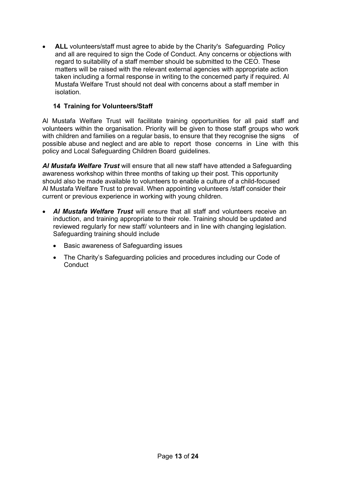• **ALL** volunteers/staff must agree to abide by the Charity's Safeguarding Policy and all are required to sign the Code of Conduct. Any concerns or objections with regard to suitability of a staff member should be submitted to the CEO. These matters will be raised with the relevant external agencies with appropriate action taken including a formal response in writing to the concerned party if required. Al Mustafa Welfare Trust should not deal with concerns about a staff member in isolation.

## **14 Training for Volunteers/Staff**

Al Mustafa Welfare Trust will facilitate training opportunities for all paid staff and volunteers within the organisation. Priority will be given to those staff groups who work with children and families on a regular basis, to ensure that they recognise the signs of possible abuse and neglect and are able to report those concerns in Line with this policy and Local Safeguarding Children Board guidelines.

*Al Mustafa Welfare Trust* will ensure that all new staff have attended a Safeguarding awareness workshop within three months of taking up their post. This opportunity should also be made available to volunteers to enable a culture of a child-focused Al Mustafa Welfare Trust to prevail. When appointing volunteers /staff consider their current or previous experience in working with young children.

- *Al Mustafa Welfare Trust* will ensure that all staff and volunteers receive an induction, and training appropriate to their role. Training should be updated and reviewed regularly for new staff/ volunteers and in line with changing legislation. Safeguarding training should include
	- Basic awareness of Safeguarding issues
	- The Charity's Safeguarding policies and procedures including our Code of **Conduct**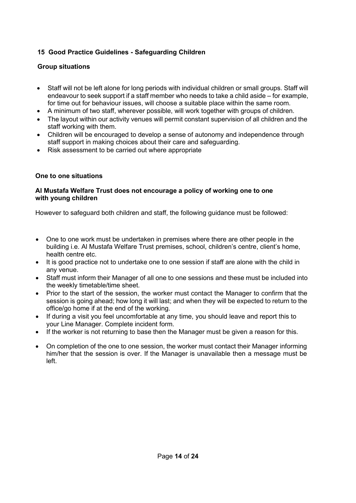## **15 Good Practice Guidelines - Safeguarding Children**

## **Group situations**

- Staff will not be left alone for long periods with individual children or small groups. Staff will endeavour to seek support if a staff member who needs to take a child aside – for example, for time out for behaviour issues, will choose a suitable place within the same room.
- A minimum of two staff, wherever possible, will work together with groups of children.
- The layout within our activity venues will permit constant supervision of all children and the staff working with them.
- Children will be encouraged to develop a sense of autonomy and independence through staff support in making choices about their care and safeguarding.
- Risk assessment to be carried out where appropriate

#### **One to one situations**

#### **Al Mustafa Welfare Trust does not encourage a policy of working one to one with young children**

However to safeguard both children and staff, the following guidance must be followed:

- One to one work must be undertaken in premises where there are other people in the building i.e. Al Mustafa Welfare Trust premises, school, children's centre, client's home, health centre etc.
- It is good practice not to undertake one to one session if staff are alone with the child in any venue.
- Staff must inform their Manager of all one to one sessions and these must be included into the weekly timetable/time sheet.
- Prior to the start of the session, the worker must contact the Manager to confirm that the session is going ahead; how long it will last; and when they will be expected to return to the office/go home if at the end of the working.
- If during a visit you feel uncomfortable at any time, you should leave and report this to your Line Manager. Complete incident form.
- If the worker is not returning to base then the Manager must be given a reason for this.
- On completion of the one to one session, the worker must contact their Manager informing him/her that the session is over. If the Manager is unavailable then a message must be left.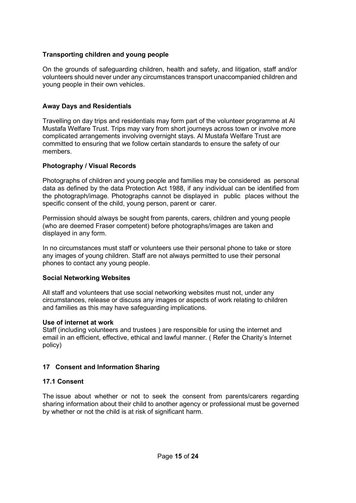## **Transporting children and young people**

On the grounds of safeguarding children, health and safety, and litigation, staff and/or volunteers should never under any circumstances transport unaccompanied children and young people in their own vehicles.

#### **Away Days and Residentials**

Travelling on day trips and residentials may form part of the volunteer programme at Al Mustafa Welfare Trust. Trips may vary from short journeys across town or involve more complicated arrangements involving overnight stays. Al Mustafa Welfare Trust are committed to ensuring that we follow certain standards to ensure the safety of our members.

#### **Photography / Visual Records**

Photographs of children and young people and families may be considered as personal data as defined by the data Protection Act 1988, if any individual can be identified from the photograph/image. Photographs cannot be displayed in public places without the specific consent of the child, young person, parent or carer.

Permission should always be sought from parents, carers, children and young people (who are deemed Fraser competent) before photographs/images are taken and displayed in any form.

In no circumstances must staff or volunteers use their personal phone to take or store any images of young children. Staff are not always permitted to use their personal phones to contact any young people.

#### **Social Networking Websites**

All staff and volunteers that use social networking websites must not, under any circumstances, release or discuss any images or aspects of work relating to children and families as this may have safeguarding implications.

#### **Use of internet at work**

Staff (including volunteers and trustees ) are responsible for using the internet and email in an efficient, effective, ethical and lawful manner. ( Refer the Charity's Internet policy)

#### **17 Consent and Information Sharing**

#### **17.1 Consent**

The issue about whether or not to seek the consent from parents/carers regarding sharing information about their child to another agency or professional must be governed by whether or not the child is at risk of significant harm.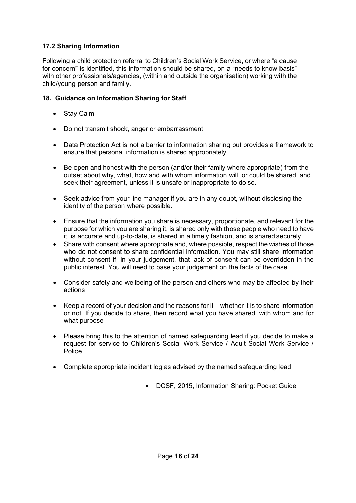## **17.2 Sharing Information**

Following a child protection referral to Children's Social Work Service, or where "a cause for concern" is identified, this information should be shared, on a "needs to know basis" with other professionals/agencies, (within and outside the organisation) working with the child/young person and family.

## **18. Guidance on Information Sharing for Staff**

- Stay Calm
- Do not transmit shock, anger or embarrassment
- Data Protection Act is not a barrier to information sharing but provides a framework to ensure that personal information is shared appropriately
- Be open and honest with the person (and/or their family where appropriate) from the outset about why, what, how and with whom information will, or could be shared, and seek their agreement, unless it is unsafe or inappropriate to do so.
- Seek advice from your line manager if you are in any doubt, without disclosing the identity of the person where possible.
- Ensure that the information you share is necessary, proportionate, and relevant for the purpose for which you are sharing it, is shared only with those people who need to have it, is accurate and up-to-date, is shared in a timely fashion, and is shared securely.
- Share with consent where appropriate and, where possible, respect the wishes of those who do not consent to share confidential information. You may still share information without consent if, in your judgement, that lack of consent can be overridden in the public interest. You will need to base your judgement on the facts of the case.
- Consider safety and wellbeing of the person and others who may be affected by their actions
- Keep a record of your decision and the reasons for it whether it is to share information or not. If you decide to share, then record what you have shared, with whom and for what purpose
- Please bring this to the attention of named safeguarding lead if you decide to make a request for service to Children's Social Work Service / Adult Social Work Service / **Police**
- Complete appropriate incident log as advised by the named safeguarding lead
	- DCSF, 2015, Information Sharing: Pocket Guide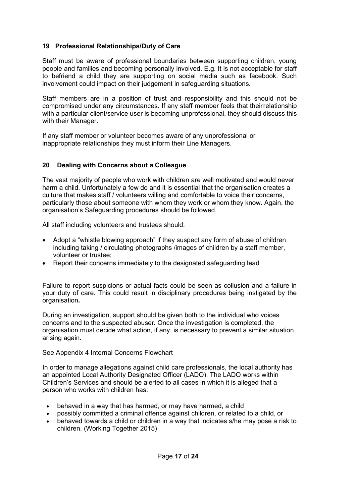#### **19 Professional Relationships/Duty of Care**

Staff must be aware of professional boundaries between supporting children, young people and families and becoming personally involved. E.g. It is not acceptable for staff to befriend a child they are supporting on social media such as facebook. Such involvement could impact on their judgement in safeguarding situations.

Staff members are in a position of trust and responsibility and this should not be compromised under any circumstances. If any staff member feels that theirrelationship with a particular client/service user is becoming unprofessional, they should discuss this with their Manager.

If any staff member or volunteer becomes aware of any unprofessional or inappropriate relationships they must inform their Line Managers.

#### **20 Dealing with Concerns about a Colleague**

The vast majority of people who work with children are well motivated and would never harm a child. Unfortunately a few do and it is essential that the organisation creates a culture that makes staff / volunteers willing and comfortable to voice their concerns, particularly those about someone with whom they work or whom they know. Again, the organisation's Safeguarding procedures should be followed.

All staff including volunteers and trustees should:

- Adopt a "whistle blowing approach" if they suspect any form of abuse of children including taking / circulating photographs /images of children by a staff member, volunteer or trustee;
- Report their concerns immediately to the designated safeguarding lead

Failure to report suspicions or actual facts could be seen as collusion and a failure in your duty of care. This could result in disciplinary procedures being instigated by the organisation**.**

During an investigation, support should be given both to the individual who voices concerns and to the suspected abuser. Once the investigation is completed, the organisation must decide what action, if any, is necessary to prevent a similar situation arising again.

See Appendix 4 Internal Concerns Flowchart

In order to manage allegations against child care professionals, the local authority has an appointed Local Authority Designated Officer (LADO). The LADO works within Children's Services and should be alerted to all cases in which it is alleged that a person who works with children has:

- behaved in a way that has harmed, or may have harmed, a child
- possibly committed a criminal offence against children, or related to a child, or
- behaved towards a child or children in a way that indicates s/he may pose a risk to children. (Working Together 2015)